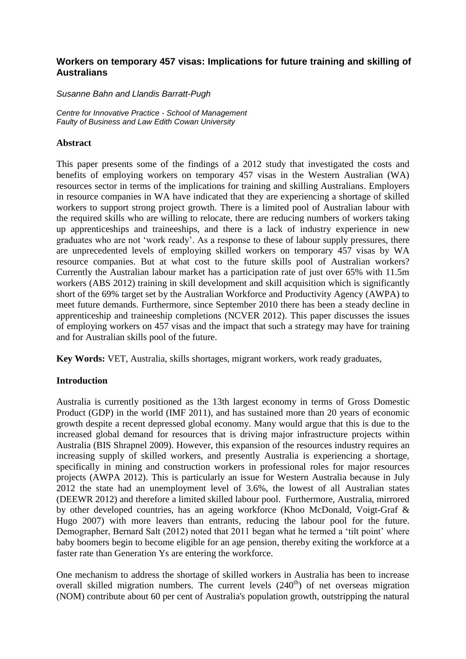## **Workers on temporary 457 visas: Implications for future training and skilling of Australians**

### *Susanne Bahn and Llandis Barratt-Pugh*

*Centre for Innovative Practice - School of Management Faulty of Business and Law Edith Cowan University*

### **Abstract**

This paper presents some of the findings of a 2012 study that investigated the costs and benefits of employing workers on temporary 457 visas in the Western Australian (WA) resources sector in terms of the implications for training and skilling Australians. Employers in resource companies in WA have indicated that they are experiencing a shortage of skilled workers to support strong project growth. There is a limited pool of Australian labour with the required skills who are willing to relocate, there are reducing numbers of workers taking up apprenticeships and traineeships, and there is a lack of industry experience in new graduates who are not 'work ready'. As a response to these of labour supply pressures, there are unprecedented levels of employing skilled workers on temporary 457 visas by WA resource companies. But at what cost to the future skills pool of Australian workers? Currently the Australian labour market has a participation rate of just over 65% with 11.5m workers (ABS 2012) training in skill development and skill acquisition which is significantly short of the 69% target set by the Australian Workforce and Productivity Agency (AWPA) to meet future demands. Furthermore, since September 2010 there has been a steady decline in apprenticeship and traineeship completions (NCVER 2012). This paper discusses the issues of employing workers on 457 visas and the impact that such a strategy may have for training and for Australian skills pool of the future.

**Key Words:** VET, Australia, skills shortages, migrant workers, work ready graduates,

# **Introduction**

Australia is currently positioned as the 13th largest economy in terms of Gross Domestic Product (GDP) in the world (IMF 2011), and has sustained more than 20 years of economic growth despite a recent depressed global economy. Many would argue that this is due to the increased global demand for resources that is driving major infrastructure projects within Australia (BIS Shrapnel 2009). However, this expansion of the resources industry requires an increasing supply of skilled workers, and presently Australia is experiencing a shortage, specifically in mining and construction workers in professional roles for major resources projects (AWPA 2012). This is particularly an issue for Western Australia because in July 2012 the state had an unemployment level of 3.6%, the lowest of all Australian states (DEEWR 2012) and therefore a limited skilled labour pool. Furthermore, Australia, mirrored by other developed countries, has an ageing workforce (Khoo McDonald, Voigt-Graf & Hugo 2007) with more leavers than entrants, reducing the labour pool for the future. Demographer, Bernard Salt (2012) noted that 2011 began what he termed a 'tilt point' where baby boomers begin to become eligible for an age pension, thereby exiting the workforce at a faster rate than Generation Ys are entering the workforce.

One mechanism to address the shortage of skilled workers in Australia has been to increase overall skilled migration numbers. The current levels  $(240<sup>th</sup>)$  of net overseas migration (NOM) contribute about 60 per cent of Australia's population growth, outstripping the natural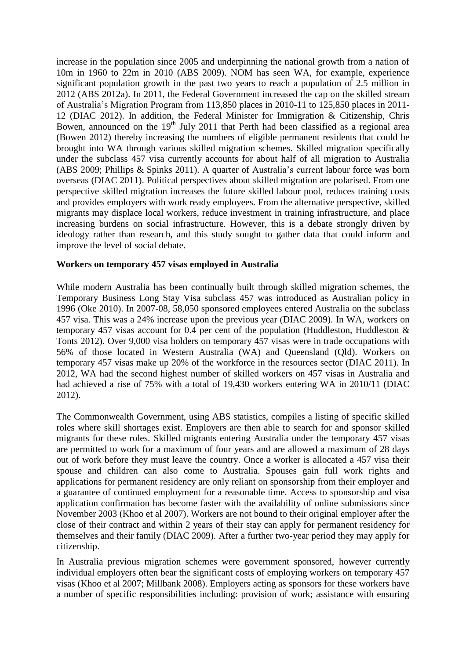increase in the population since 2005 and underpinning the national growth from a nation of 10m in 1960 to 22m in 2010 (ABS 2009). NOM has seen WA, for example, experience significant population growth in the past two years to reach a population of 2.5 million in 2012 (ABS 2012a). In 2011, the Federal Government increased the cap on the skilled stream of Australia's Migration Program from 113,850 places in 2010-11 to 125,850 places in 2011- 12 (DIAC 2012). In addition, the Federal Minister for Immigration & Citizenship, Chris Bowen, announced on the  $19<sup>th</sup>$  July 2011 that Perth had been classified as a regional area (Bowen 2012) thereby increasing the numbers of eligible permanent residents that could be brought into WA through various skilled migration schemes. Skilled migration specifically under the subclass 457 visa currently accounts for about half of all migration to Australia (ABS 2009; Phillips & Spinks 2011). A quarter of Australia's current labour force was born overseas (DIAC 2011). Political perspectives about skilled migration are polarised. From one perspective skilled migration increases the future skilled labour pool, reduces training costs and provides employers with work ready employees. From the alternative perspective, skilled migrants may displace local workers, reduce investment in training infrastructure, and place increasing burdens on social infrastructure. However, this is a debate strongly driven by ideology rather than research, and this study sought to gather data that could inform and improve the level of social debate.

### **Workers on temporary 457 visas employed in Australia**

While modern Australia has been continually built through skilled migration schemes, the Temporary Business Long Stay Visa subclass 457 was introduced as Australian policy in 1996 (Oke 2010). In 2007-08, 58,050 sponsored employees entered Australia on the subclass 457 visa. This was a 24% increase upon the previous year (DIAC 2009). In WA, workers on temporary 457 visas account for 0.4 per cent of the population (Huddleston, Huddleston & Tonts 2012). Over 9,000 visa holders on temporary 457 visas were in trade occupations with 56% of those located in Western Australia (WA) and Queensland (Qld). Workers on temporary 457 visas make up 20% of the workforce in the resources sector (DIAC 2011). In 2012, WA had the second highest number of skilled workers on 457 visas in Australia and had achieved a rise of 75% with a total of 19,430 workers entering WA in 2010/11 (DIAC) 2012).

The Commonwealth Government, using ABS statistics, compiles a listing of specific skilled roles where skill shortages exist. Employers are then able to search for and sponsor skilled migrants for these roles. Skilled migrants entering Australia under the temporary 457 visas are permitted to work for a maximum of four years and are allowed a maximum of 28 days out of work before they must leave the country. Once a worker is allocated a 457 visa their spouse and children can also come to Australia. Spouses gain full work rights and applications for permanent residency are only reliant on sponsorship from their employer and a guarantee of continued employment for a reasonable time. Access to sponsorship and visa application confirmation has become faster with the availability of online submissions since November 2003 (Khoo et al 2007). Workers are not bound to their original employer after the close of their contract and within 2 years of their stay can apply for permanent residency for themselves and their family (DIAC 2009). After a further two-year period they may apply for citizenship.

In Australia previous migration schemes were government sponsored, however currently individual employers often bear the significant costs of employing workers on temporary 457 visas (Khoo et al 2007; Millbank 2008). Employers acting as sponsors for these workers have a number of specific responsibilities including: provision of work; assistance with ensuring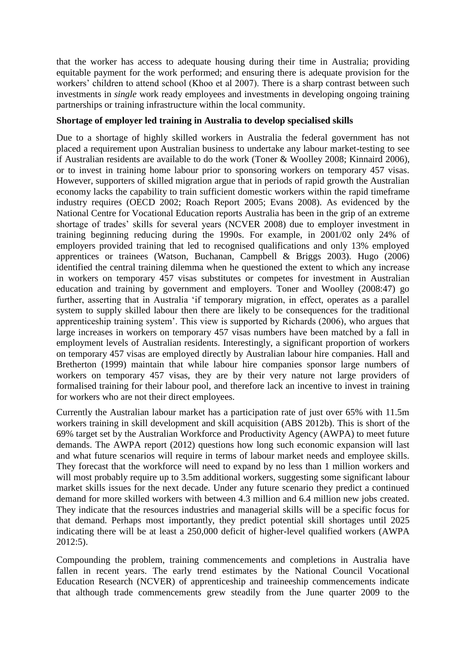that the worker has access to adequate housing during their time in Australia; providing equitable payment for the work performed; and ensuring there is adequate provision for the workers' children to attend school (Khoo et al 2007). There is a sharp contrast between such investments in *single* work ready employees and investments in developing ongoing training partnerships or training infrastructure within the local community.

### **Shortage of employer led training in Australia to develop specialised skills**

Due to a shortage of highly skilled workers in Australia the federal government has not placed a requirement upon Australian business to undertake any labour market-testing to see if Australian residents are available to do the work (Toner & Woolley 2008; Kinnaird 2006), or to invest in training home labour prior to sponsoring workers on temporary 457 visas. However, supporters of skilled migration argue that in periods of rapid growth the Australian economy lacks the capability to train sufficient domestic workers within the rapid timeframe industry requires (OECD 2002; Roach Report 2005; Evans 2008). As evidenced by the National Centre for Vocational Education reports Australia has been in the grip of an extreme shortage of trades' skills for several years (NCVER 2008) due to employer investment in training beginning reducing during the 1990s. For example, in 2001/02 only 24% of employers provided training that led to recognised qualifications and only 13% employed apprentices or trainees (Watson, Buchanan, Campbell & Briggs 2003). Hugo (2006) identified the central training dilemma when he questioned the extent to which any increase in workers on temporary 457 visas substitutes or competes for investment in Australian education and training by government and employers. Toner and Woolley (2008:47) go further, asserting that in Australia 'if temporary migration, in effect, operates as a parallel system to supply skilled labour then there are likely to be consequences for the traditional apprenticeship training system'. This view is supported by Richards (2006), who argues that large increases in workers on temporary 457 visas numbers have been matched by a fall in employment levels of Australian residents. Interestingly, a significant proportion of workers on temporary 457 visas are employed directly by Australian labour hire companies. Hall and Bretherton (1999) maintain that while labour hire companies sponsor large numbers of workers on temporary 457 visas, they are by their very nature not large providers of formalised training for their labour pool, and therefore lack an incentive to invest in training for workers who are not their direct employees.

Currently the Australian labour market has a participation rate of just over 65% with 11.5m workers training in skill development and skill acquisition (ABS 2012b). This is short of the 69% target set by the Australian Workforce and Productivity Agency (AWPA) to meet future demands. The AWPA report (2012) questions how long such economic expansion will last and what future scenarios will require in terms of labour market needs and employee skills. They forecast that the workforce will need to expand by no less than 1 million workers and will most probably require up to 3.5m additional workers, suggesting some significant labour market skills issues for the next decade. Under any future scenario they predict a continued demand for more skilled workers with between 4.3 million and 6.4 million new jobs created. They indicate that the resources industries and managerial skills will be a specific focus for that demand. Perhaps most importantly, they predict potential skill shortages until 2025 indicating there will be at least a 250,000 deficit of higher-level qualified workers (AWPA 2012:5).

Compounding the problem, training commencements and completions in Australia have fallen in recent years. The early trend estimates by the National Council Vocational Education Research (NCVER) of apprenticeship and traineeship commencements indicate that although trade commencements grew steadily from the June quarter 2009 to the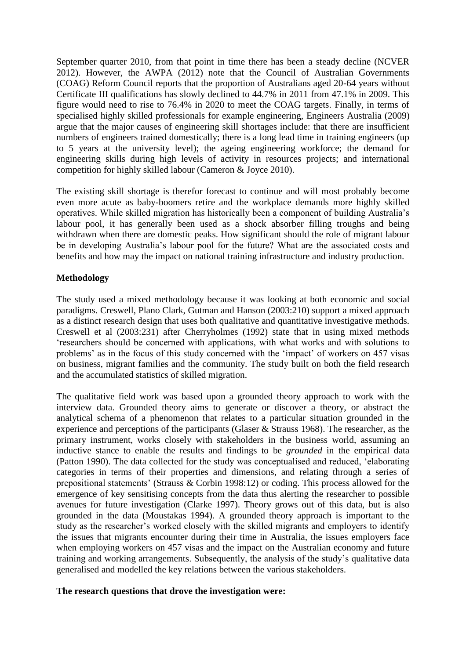September quarter 2010, from that point in time there has been a steady decline (NCVER 2012). However, the AWPA (2012) note that the Council of Australian Governments (COAG) Reform Council reports that the proportion of Australians aged 20-64 years without Certificate III qualifications has slowly declined to 44.7% in 2011 from 47.1% in 2009. This figure would need to rise to 76.4% in 2020 to meet the COAG targets. Finally, in terms of specialised highly skilled professionals for example engineering, Engineers Australia (2009) argue that the major causes of engineering skill shortages include: that there are insufficient numbers of engineers trained domestically; there is a long lead time in training engineers (up to 5 years at the university level); the ageing engineering workforce; the demand for engineering skills during high levels of activity in resources projects; and international competition for highly skilled labour (Cameron & Joyce 2010).

The existing skill shortage is therefor forecast to continue and will most probably become even more acute as baby-boomers retire and the workplace demands more highly skilled operatives. While skilled migration has historically been a component of building Australia's labour pool, it has generally been used as a shock absorber filling troughs and being withdrawn when there are domestic peaks. How significant should the role of migrant labour be in developing Australia's labour pool for the future? What are the associated costs and benefits and how may the impact on national training infrastructure and industry production.

# **Methodology**

The study used a mixed methodology because it was looking at both economic and social paradigms. Creswell, Plano Clark, Gutman and Hanson (2003:210) support a mixed approach as a distinct research design that uses both qualitative and quantitative investigative methods. Creswell et al (2003:231) after Cherryholmes (1992) state that in using mixed methods 'researchers should be concerned with applications, with what works and with solutions to problems' as in the focus of this study concerned with the 'impact' of workers on 457 visas on business, migrant families and the community. The study built on both the field research and the accumulated statistics of skilled migration.

The qualitative field work was based upon a grounded theory approach to work with the interview data. Grounded theory aims to generate or discover a theory, or abstract the analytical schema of a phenomenon that relates to a particular situation grounded in the experience and perceptions of the participants (Glaser & Strauss 1968). The researcher, as the primary instrument, works closely with stakeholders in the business world, assuming an inductive stance to enable the results and findings to be *grounded* in the empirical data (Patton 1990). The data collected for the study was conceptualised and reduced, 'elaborating categories in terms of their properties and dimensions, and relating through a series of prepositional statements' (Strauss & Corbin 1998:12) or coding. This process allowed for the emergence of key sensitising concepts from the data thus alerting the researcher to possible avenues for future investigation (Clarke 1997). Theory grows out of this data, but is also grounded in the data (Moustakas 1994). A grounded theory approach is important to the study as the researcher's worked closely with the skilled migrants and employers to identify the issues that migrants encounter during their time in Australia, the issues employers face when employing workers on 457 visas and the impact on the Australian economy and future training and working arrangements. Subsequently, the analysis of the study's qualitative data generalised and modelled the key relations between the various stakeholders.

# **The research questions that drove the investigation were:**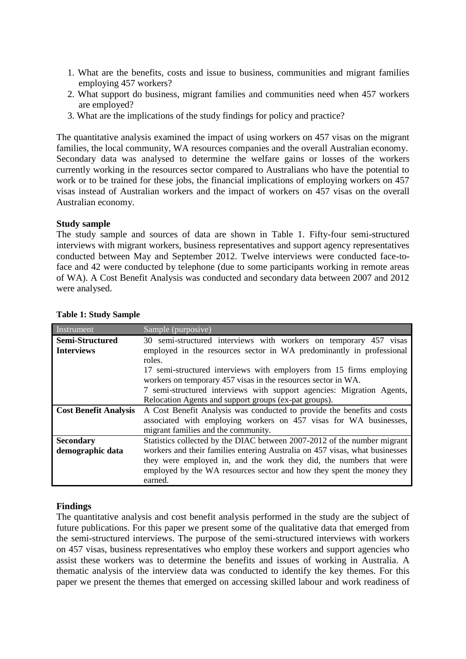- 1. What are the benefits, costs and issue to business, communities and migrant families employing 457 workers?
- 2. What support do business, migrant families and communities need when 457 workers are employed?
- 3. What are the implications of the study findings for policy and practice?

The quantitative analysis examined the impact of using workers on 457 visas on the migrant families, the local community, WA resources companies and the overall Australian economy. Secondary data was analysed to determine the welfare gains or losses of the workers currently working in the resources sector compared to Australians who have the potential to work or to be trained for these jobs, the financial implications of employing workers on 457 visas instead of Australian workers and the impact of workers on 457 visas on the overall Australian economy.

### **Study sample**

The study sample and sources of data are shown in Table 1. Fifty-four semi-structured interviews with migrant workers, business representatives and support agency representatives conducted between May and September 2012. Twelve interviews were conducted face-toface and 42 were conducted by telephone (due to some participants working in remote areas of WA). A Cost Benefit Analysis was conducted and secondary data between 2007 and 2012 were analysed.

| Instrument                   | Sample (purposive)                                                          |
|------------------------------|-----------------------------------------------------------------------------|
| Semi-Structured              | 30 semi-structured interviews with workers on temporary 457 visas           |
| <b>Interviews</b>            | employed in the resources sector in WA predominantly in professional        |
|                              | roles.                                                                      |
|                              | 17 semi-structured interviews with employers from 15 firms employing        |
|                              | workers on temporary 457 visas in the resources sector in WA.               |
|                              | 7 semi-structured interviews with support agencies: Migration Agents,       |
|                              | Relocation Agents and support groups (ex-pat groups).                       |
| <b>Cost Benefit Analysis</b> | A Cost Benefit Analysis was conducted to provide the benefits and costs     |
|                              | associated with employing workers on 457 visas for WA businesses,           |
|                              | migrant families and the community.                                         |
| <b>Secondary</b>             | Statistics collected by the DIAC between 2007-2012 of the number migrant    |
| demographic data             | workers and their families entering Australia on 457 visas, what businesses |
|                              | they were employed in, and the work they did, the numbers that were         |
|                              | employed by the WA resources sector and how they spent the money they       |
|                              | earned.                                                                     |

#### **Table 1: Study Sample**

#### **Findings**

The quantitative analysis and cost benefit analysis performed in the study are the subject of future publications. For this paper we present some of the qualitative data that emerged from the semi-structured interviews. The purpose of the semi-structured interviews with workers on 457 visas, business representatives who employ these workers and support agencies who assist these workers was to determine the benefits and issues of working in Australia. A thematic analysis of the interview data was conducted to identify the key themes. For this paper we present the themes that emerged on accessing skilled labour and work readiness of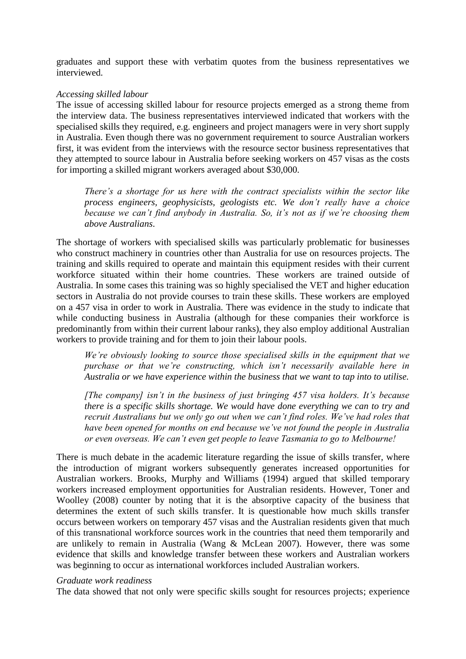graduates and support these with verbatim quotes from the business representatives we interviewed.

#### *Accessing skilled labour*

The issue of accessing skilled labour for resource projects emerged as a strong theme from the interview data. The business representatives interviewed indicated that workers with the specialised skills they required, e.g. engineers and project managers were in very short supply in Australia. Even though there was no government requirement to source Australian workers first, it was evident from the interviews with the resource sector business representatives that they attempted to source labour in Australia before seeking workers on 457 visas as the costs for importing a skilled migrant workers averaged about \$30,000.

*There's a shortage for us here with the contract specialists within the sector like process engineers, geophysicists, geologists etc. We don't really have a choice because we can't find anybody in Australia. So, it's not as if we're choosing them above Australians*.

The shortage of workers with specialised skills was particularly problematic for businesses who construct machinery in countries other than Australia for use on resources projects. The training and skills required to operate and maintain this equipment resides with their current workforce situated within their home countries. These workers are trained outside of Australia. In some cases this training was so highly specialised the VET and higher education sectors in Australia do not provide courses to train these skills. These workers are employed on a 457 visa in order to work in Australia. There was evidence in the study to indicate that while conducting business in Australia (although for these companies their workforce is predominantly from within their current labour ranks), they also employ additional Australian workers to provide training and for them to join their labour pools.

*We're obviously looking to source those specialised skills in the equipment that we purchase or that we're constructing, which isn't necessarily available here in Australia or we have experience within the business that we want to tap into to utilise.*

*[The company] isn't in the business of just bringing 457 visa holders. It's because there is a specific skills shortage. We would have done everything we can to try and recruit Australians but we only go out when we can't find roles. We've had roles that have been opened for months on end because we've not found the people in Australia or even overseas. We can't even get people to leave Tasmania to go to Melbourne!*

There is much debate in the academic literature regarding the issue of skills transfer, where the introduction of migrant workers subsequently generates increased opportunities for Australian workers. Brooks, Murphy and Williams (1994) argued that skilled temporary workers increased employment opportunities for Australian residents. However, Toner and Woolley (2008) counter by noting that it is the absorptive capacity of the business that determines the extent of such skills transfer. It is questionable how much skills transfer occurs between workers on temporary 457 visas and the Australian residents given that much of this transnational workforce sources work in the countries that need them temporarily and are unlikely to remain in Australia (Wang & McLean 2007). However, there was some evidence that skills and knowledge transfer between these workers and Australian workers was beginning to occur as international workforces included Australian workers.

#### *Graduate work readiness*

The data showed that not only were specific skills sought for resources projects; experience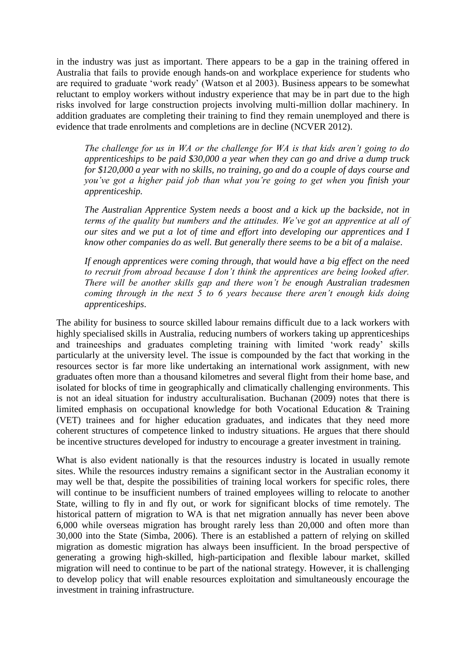in the industry was just as important. There appears to be a gap in the training offered in Australia that fails to provide enough hands-on and workplace experience for students who are required to graduate 'work ready' (Watson et al 2003). Business appears to be somewhat reluctant to employ workers without industry experience that may be in part due to the high risks involved for large construction projects involving multi-million dollar machinery. In addition graduates are completing their training to find they remain unemployed and there is evidence that trade enrolments and completions are in decline (NCVER 2012).

*The challenge for us in WA or the challenge for WA is that kids aren't going to do apprenticeships to be paid \$30,000 a year when they can go and drive a dump truck for \$120,000 a year with no skills, no training, go and do a couple of days course and you've got a higher paid job than what you're going to get when you finish your apprenticeship.*

*The Australian Apprentice System needs a boost and a kick up the backside, not in terms of the quality but numbers and the attitudes. We've got an apprentice at all of our sites and we put a lot of time and effort into developing our apprentices and I know other companies do as well. But generally there seems to be a bit of a malaise*.

*If enough apprentices were coming through, that would have a big effect on the need to recruit from abroad because I don't think the apprentices are being looked after. There will be another skills gap and there won't be enough Australian tradesmen coming through in the next 5 to 6 years because there aren't enough kids doing apprenticeships*.

The ability for business to source skilled labour remains difficult due to a lack workers with highly specialised skills in Australia, reducing numbers of workers taking up apprenticeships and traineeships and graduates completing training with limited 'work ready' skills particularly at the university level. The issue is compounded by the fact that working in the resources sector is far more like undertaking an international work assignment, with new graduates often more than a thousand kilometres and several flight from their home base, and isolated for blocks of time in geographically and climatically challenging environments. This is not an ideal situation for industry acculturalisation. Buchanan (2009) notes that there is limited emphasis on occupational knowledge for both Vocational Education & Training (VET) trainees and for higher education graduates, and indicates that they need more coherent structures of competence linked to industry situations. He argues that there should be incentive structures developed for industry to encourage a greater investment in training.

What is also evident nationally is that the resources industry is located in usually remote sites. While the resources industry remains a significant sector in the Australian economy it may well be that, despite the possibilities of training local workers for specific roles, there will continue to be insufficient numbers of trained employees willing to relocate to another State, willing to fly in and fly out, or work for significant blocks of time remotely. The historical pattern of migration to WA is that net migration annually has never been above 6,000 while overseas migration has brought rarely less than 20,000 and often more than 30,000 into the State (Simba, 2006). There is an established a pattern of relying on skilled migration as domestic migration has always been insufficient. In the broad perspective of generating a growing high-skilled, high-participation and flexible labour market, skilled migration will need to continue to be part of the national strategy. However, it is challenging to develop policy that will enable resources exploitation and simultaneously encourage the investment in training infrastructure.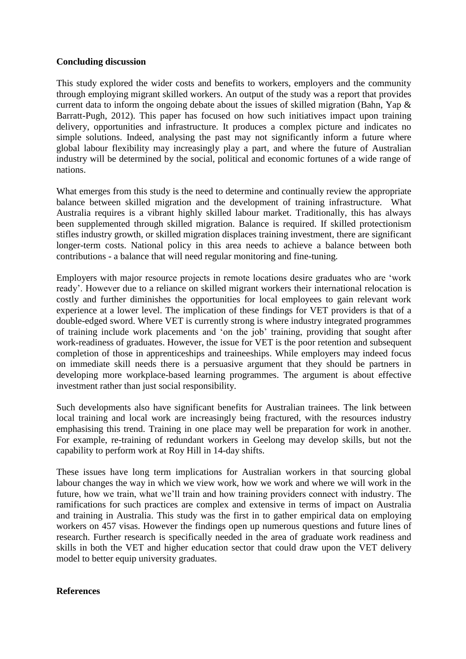### **Concluding discussion**

This study explored the wider costs and benefits to workers, employers and the community through employing migrant skilled workers. An output of the study was a report that provides current data to inform the ongoing debate about the issues of skilled migration (Bahn, Yap & Barratt-Pugh, 2012). This paper has focused on how such initiatives impact upon training delivery, opportunities and infrastructure. It produces a complex picture and indicates no simple solutions. Indeed, analysing the past may not significantly inform a future where global labour flexibility may increasingly play a part, and where the future of Australian industry will be determined by the social, political and economic fortunes of a wide range of nations.

What emerges from this study is the need to determine and continually review the appropriate balance between skilled migration and the development of training infrastructure. What Australia requires is a vibrant highly skilled labour market. Traditionally, this has always been supplemented through skilled migration. Balance is required. If skilled protectionism stifles industry growth, or skilled migration displaces training investment, there are significant longer-term costs. National policy in this area needs to achieve a balance between both contributions - a balance that will need regular monitoring and fine-tuning.

Employers with major resource projects in remote locations desire graduates who are 'work ready'. However due to a reliance on skilled migrant workers their international relocation is costly and further diminishes the opportunities for local employees to gain relevant work experience at a lower level. The implication of these findings for VET providers is that of a double-edged sword. Where VET is currently strong is where industry integrated programmes of training include work placements and 'on the job' training, providing that sought after work-readiness of graduates. However, the issue for VET is the poor retention and subsequent completion of those in apprenticeships and traineeships. While employers may indeed focus on immediate skill needs there is a persuasive argument that they should be partners in developing more workplace-based learning programmes. The argument is about effective investment rather than just social responsibility.

Such developments also have significant benefits for Australian trainees. The link between local training and local work are increasingly being fractured, with the resources industry emphasising this trend. Training in one place may well be preparation for work in another. For example, re-training of redundant workers in Geelong may develop skills, but not the capability to perform work at Roy Hill in 14-day shifts.

These issues have long term implications for Australian workers in that sourcing global labour changes the way in which we view work, how we work and where we will work in the future, how we train, what we'll train and how training providers connect with industry. The ramifications for such practices are complex and extensive in terms of impact on Australia and training in Australia. This study was the first in to gather empirical data on employing workers on 457 visas. However the findings open up numerous questions and future lines of research. Further research is specifically needed in the area of graduate work readiness and skills in both the VET and higher education sector that could draw upon the VET delivery model to better equip university graduates.

### **References**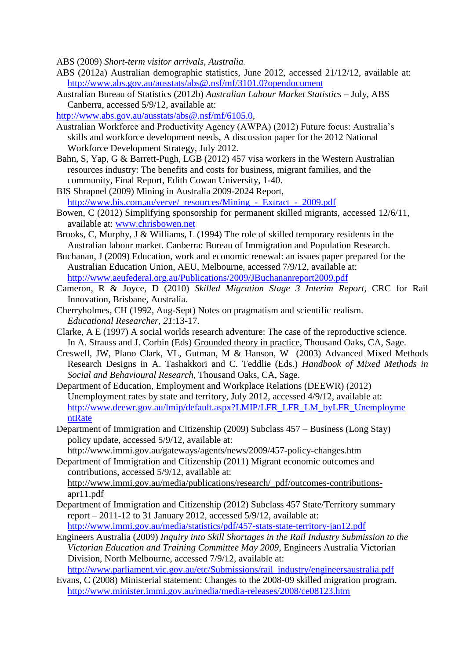ABS (2009) *Short-term visitor arrivals, Australia.*

- ABS (2012a) Australian demographic statistics, June 2012, accessed 21/12/12, available at: <http://www.abs.gov.au/ausstats/abs@.nsf/mf/3101.0?opendocument>
- Australian Bureau of Statistics (2012b) *Australian Labour Market Statistics* July, ABS Canberra, accessed 5/9/12, available at:
- [http://www.abs.gov.au/ausstats/abs@.nsf/mf/6105.0,](http://www.abs.gov.au/ausstats/)
- Australian Workforce and Productivity Agency (AWPA) (2012) Future focus: Australia's skills and workforce development needs, A discussion paper for the 2012 National Workforce Development Strategy, July 2012.
- Bahn, S, Yap, G & Barrett-Pugh, LGB (2012) 457 visa workers in the Western Australian resources industry: The benefits and costs for business, migrant families, and the community, Final Report, Edith Cowan University, 1-40.
- BIS Shrapnel (2009) Mining in Australia 2009-2024 Report, [http://www.bis.com.au/verve/\\_resources/Mining\\_-\\_Extract\\_-\\_2009.pdf](http://www.bis.com.au/verve/_resources/Mining_-_Extract_-_2009.pdf)
- Bowen, C (2012) Simplifying sponsorship for permanent skilled migrants, accessed 12/6/11, available at: [www.chrisbowen.net](http://www.chrisbowen.net/)
- Brooks, C, Murphy, J & Williams, L (1994) The role of skilled temporary residents in the Australian labour market. Canberra: Bureau of Immigration and Population Research.
- Buchanan, J (2009) Education, work and economic renewal: an issues paper prepared for the Australian Education Union, AEU, Melbourne, accessed 7/9/12, available at: <http://www.aeufederal.org.au/Publications/2009/JBuchananreport2009.pdf>
- Cameron, R & Joyce, D (2010) *Skilled Migration Stage 3 Interim Report*, CRC for Rail Innovation, Brisbane, Australia.
- Cherryholmes, CH (1992, Aug-Sept) Notes on pragmatism and scientific realism. *Educational Researcher, 21*:13-17.
- Clarke, A E (1997) A social worlds research adventure: The case of the reproductive science. In A. Strauss and J. Corbin (Eds) Grounded theory in practice, Thousand Oaks, CA, Sage.
- Creswell, JW, Plano Clark, VL, Gutman, M & Hanson, W (2003) Advanced Mixed Methods Research Designs in A. Tashakkori and C. Teddlie (Eds.) *Handbook of Mixed Methods in Social and Behavioural Research*, Thousand Oaks, CA, Sage.
- Department of Education, Employment and Workplace Relations (DEEWR) (2012) Unemployment rates by state and territory, July 2012, accessed 4/9/12, available at: [http://www.deewr.gov.au/lmip/default.aspx?LMIP/LFR\\_LFR\\_LM\\_byLFR\\_Unemployme](http://www.deewr.gov.au/lmip/default.aspx?LMIP/LFR_LFR_LM_byLFR_UnemploymentRate) [ntRate](http://www.deewr.gov.au/lmip/default.aspx?LMIP/LFR_LFR_LM_byLFR_UnemploymentRate)
- Department of Immigration and Citizenship (2009) Subclass 457 Business (Long Stay) policy update, accessed 5/9/12, available at:

http://www.immi.gov.au/gateways/agents/news/2009/457-policy-changes.htm Department of Immigration and Citizenship (2011) Migrant economic outcomes and

contributions, accessed 5/9/12, available at: [http://www.immi.gov.au/media/publications/research/\\_pdf/outcomes-contributions](http://www.immi.gov.au/media/publications/research/_pdf/outcomes-contributions-apr11.pdf)[apr11.pdf](http://www.immi.gov.au/media/publications/research/_pdf/outcomes-contributions-apr11.pdf)

- Department of Immigration and Citizenship (2012) Subclass 457 State/Territory summary report – 2011-12 to 31 January 2012, accessed 5/9/12, available at: <http://www.immi.gov.au/media/statistics/pdf/457-stats-state-territory-jan12.pdf>
- Engineers Australia (2009) *Inquiry into Skill Shortages in the Rail Industry Submission to the Victorian Education and Training Committee May 2009*, Engineers Australia Victorian Division, North Melbourne, accessed 7/9/12, available at: [http://www.parliament.vic.gov.au/etc/Submissions/rail\\_industry/engineersaustralia.pdf](http://www.parliament.vic.gov.au/etc/Submissions/rail_industry/engineersaustralia.pdf)
- Evans, C (2008) Ministerial statement: Changes to the 2008-09 skilled migration program. <http://www.minister.immi.gov.au/media/media-releases/2008/ce08123.htm>